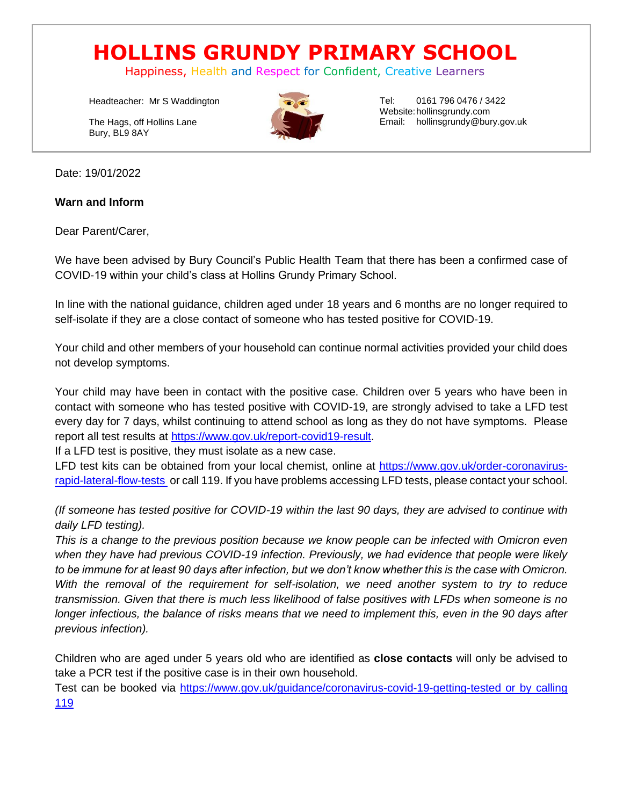# **HOLLINS GRUNDY PRIMARY SCHOOL**

Happiness, Health and Respect for Confident, Creative Learners

Headteacher: Mr S Waddington

The Hags, off Hollins Lane Bury, BL9 8AY



Tel: 0161 796 0476 / 3422 Website:hollinsgrundy.com Email: hollinsgrundy@bury.gov.uk

Date: 19/01/2022

**Warn and Inform**

Dear Parent/Carer,

We have been advised by Bury Council's Public Health Team that there has been a confirmed case of COVID-19 within your child's class at Hollins Grundy Primary School.

In line with the national guidance, children aged under 18 years and 6 months are no longer required to self-isolate if they are a close contact of someone who has tested positive for COVID-19.

Your child and other members of your household can continue normal activities provided your child does not develop symptoms.

Your child may have been in contact with the positive case. Children over 5 years who have been in contact with someone who has tested positive with COVID-19, are strongly advised to take a LFD test every day for 7 days, whilst continuing to attend school as long as they do not have symptoms. Please report all test results at [https://www.gov.uk/report-covid19-result.](https://www.gov.uk/report-covid19-result)

If a LFD test is positive, they must isolate as a new case.

LFD test kits can be obtained from your local chemist, online at [https://www.gov.uk/order-coronavirus](https://www.gov.uk/order-coronavirus-rapid-lateral-flow-tests)[rapid-lateral-flow-tests](https://www.gov.uk/order-coronavirus-rapid-lateral-flow-tests) or call 119. If you have problems accessing LFD tests, please contact your school.

*(If someone has tested positive for COVID-19 within the last 90 days, they are advised to continue with daily LFD testing).*

*This is a change to the previous position because we know people can be infected with Omicron even when they have had previous COVID-19 infection. Previously, we had evidence that people were likely to be immune for at least 90 days after infection, but we don't know whether this is the case with Omicron. With the removal of the requirement for self-isolation, we need another system to try to reduce transmission. Given that there is much less likelihood of false positives with LFDs when someone is no longer infectious, the balance of risks means that we need to implement this, even in the 90 days after previous infection).*

Children who are aged under 5 years old who are identified as **close contacts** will only be advised to take a PCR test if the positive case is in their own household.

Test can be booked via [https://www.gov.uk/guidance/coronavirus-covid-19-getting-tested or by calling](https://www.gov.uk/guidance/coronavirus-covid-19-getting-tested%20or%20by%20calling%20119)  [119](https://www.gov.uk/guidance/coronavirus-covid-19-getting-tested%20or%20by%20calling%20119)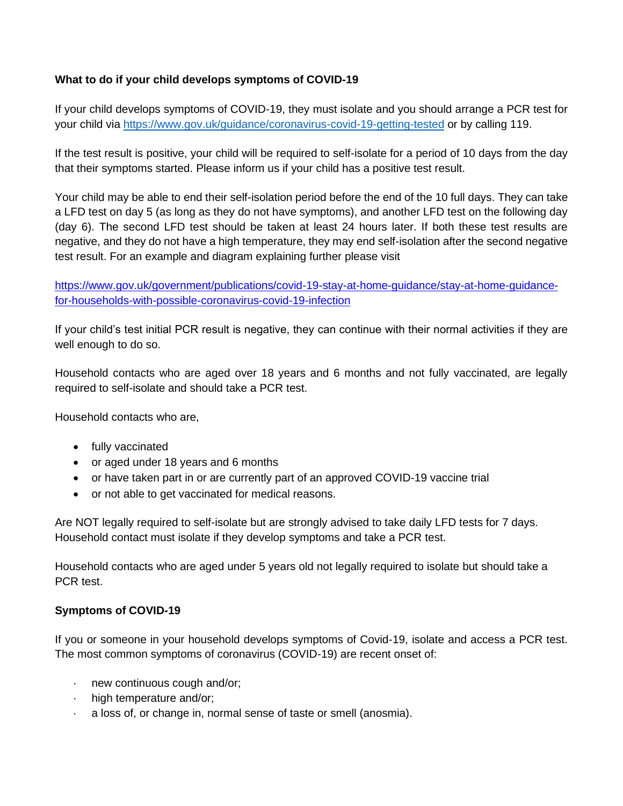## **What to do if your child develops symptoms of COVID-19**

If your child develops symptoms of COVID-19, they must isolate and you should arrange a PCR test for your child via<https://www.gov.uk/guidance/coronavirus-covid-19-getting-tested> or by calling 119.

If the test result is positive, your child will be required to self-isolate for a period of 10 days from the day that their symptoms started. Please inform us if your child has a positive test result.

Your child may be able to end their self-isolation period before the end of the 10 full days. They can take a LFD test on day 5 (as long as they do not have symptoms), and another LFD test on the following day (day 6). The second LFD test should be taken at least 24 hours later. If both these test results are negative, and they do not have a high temperature, they may end self-isolation after the second negative test result. For an example and diagram explaining further please visit

## [https://www.gov.uk/government/publications/covid-19-stay-at-home-guidance/stay-at-home-guidance](https://www.gov.uk/government/publications/covid-19-stay-at-home-guidance/stay-at-home-guidance-for-households-with-possible-coronavirus-covid-19-infection)[for-households-with-possible-coronavirus-covid-19-infection](https://www.gov.uk/government/publications/covid-19-stay-at-home-guidance/stay-at-home-guidance-for-households-with-possible-coronavirus-covid-19-infection)

If your child's test initial PCR result is negative, they can continue with their normal activities if they are well enough to do so.

Household contacts who are aged over 18 years and 6 months and not fully vaccinated, are legally required to self-isolate and should take a PCR test.

Household contacts who are,

- fully vaccinated
- or aged under 18 years and 6 months
- or have taken part in or are currently part of an approved COVID-19 vaccine trial
- or not able to get vaccinated for medical reasons.

Are NOT legally required to self-isolate but are strongly advised to take daily LFD tests for 7 days. Household contact must isolate if they develop symptoms and take a PCR test.

Household contacts who are aged under 5 years old not legally required to isolate but should take a PCR test.

#### **Symptoms of COVID-19**

If you or someone in your household develops symptoms of Covid-19, isolate and access a PCR test. The most common symptoms of coronavirus (COVID-19) are recent onset of:

- · new continuous cough and/or;
- · high temperature and/or;
- a loss of, or change in, normal sense of taste or smell (anosmia).